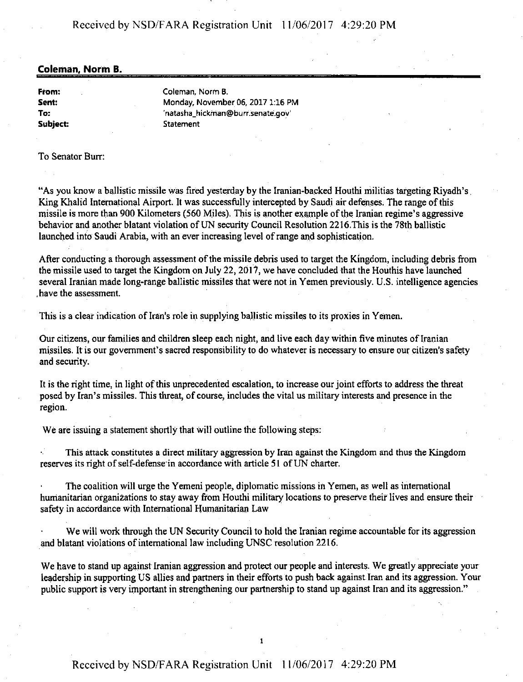#### Received by NSD/FARA Registration Unit 11/06/2017 4:29:20 PM

#### **Coleman, Norm B.**

**From: Sent: To: Subject:**  Coleman, Norm **B.**  Monday, November 06, 2017 1:16 PM 'natasha\_hickrnan@burr.senate.gov' **Statement** 

#### To Senator Burr:

"As you know a ballistic missile was fired yesterday by the Iranian-backed Houthi militias targeting Riyadh's. King Khalid Intemational Airport. It was successfully intercepted by Saudi air defenses. The range of this missile is more than 900 Kilometers (560 Miles). This is another example of the Iranian regime's aggressive behavior and another blatant violation of UN security Council Resolution 2216.This is the 78th ballistic launched into Saudi Arabia, with an ever increasing level of range and sophistication.

After conducting a thorough assessment of the missile debris used to target the Kingdom, including debris from the missile used to target the Kingdom on July 22, 2017, we have concluded that the Houthis have launched several Iranian made long-range ballistic missiles that were not in Yemen previously. U.S. intelligence agencies . have the assessment.

This is a clear indication of Iran's role in supplying ballistic missiles to its proxies in Yemen.

Our citizens, our families and children sleep each night, and live each day within five minutes of Iranian missiles. It is our government's sacred responsibility to do whatever is necessary to ensure our citizen's safety and security.

It is the right time, in light of this unprecedented escalation, to increase our joint efforts to address the threat posed by Iran's missiles. This threat, of course, includes the vital us military interests and presence in the region.

We are issuing a statement shortly that will outline the following steps:

This attack constitutes a direct military aggression by Iran against the Kingdom and thus the Kingdom reserves its right of self-defense·in accordance with article 51 of UN charter.

The coalition will urge the Yemeni people, diplomatic missions in Yemen, as well as international humanitarian organizations to stay away from Houthi military locations to preserve their lives and ensure their safety in accordance with International Humanitarian Law

We will work through the UN Security Council to hold the Iranian regime accountable for its aggression and blatant violations of international law including UNSC resolution 2216.

We have to stand up against Iranian aggression and protect our people and interests. We greatly appreciate your leadership in supporting US allies and partners in their efforts to push back against Iran and its aggression. Your public support is very important in strengthening our partnership to stand up against Iran and its aggression."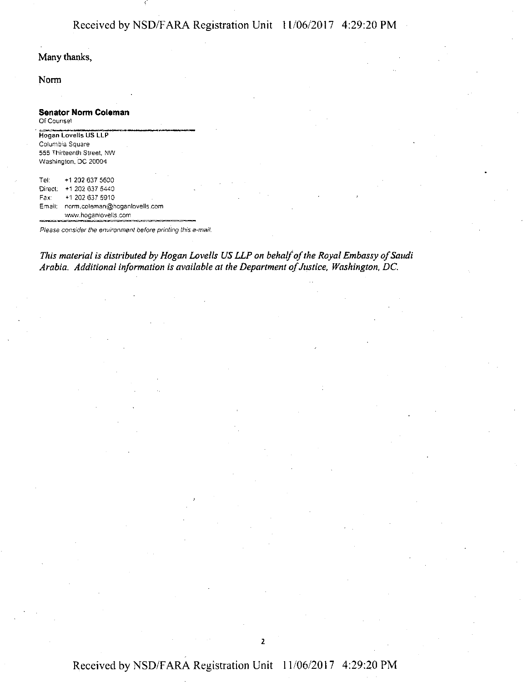## Received by NSD/F ARA Registration Unit 11/06/2017 4:29:20 PM

## Many thanks,

**Norm** 

| <b>Senator Norm Coleman</b><br>Of Counsel |                                                                                              |
|-------------------------------------------|----------------------------------------------------------------------------------------------|
|                                           | Hogan Lovelis US LLP<br>Columbia Square<br>555 Thirteenth Street, NW<br>Washington, DC 20004 |
| Tel:                                      | +1 202 637 5600                                                                              |
| Direct:                                   | +1 202 637 5440                                                                              |
| Fax:                                      | +1 202 637 5910                                                                              |
| Email:                                    | norm.coleman@hoganlovells.com<br>www.hoganlovells.com                                        |

Please consider the environment before printing this e-mail.

*This material is distributed by Hogan Lovells US LLP on behalf of the Royal Embassy of Saudi Arabia. Additional information is available at the Department of Justice, Washington, DC.* 

# Received by NSD/F ARA Registration Unit 11/06/2017 4:29:20 PM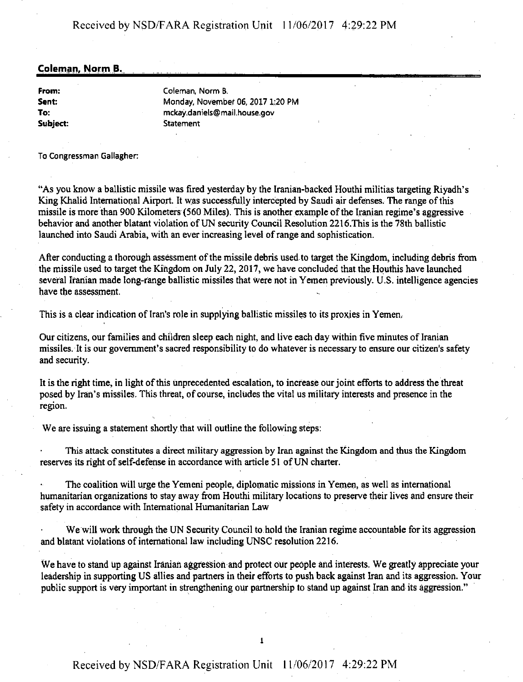## **Coleman, Norm B.**

**From: Sent: To: S11bject:**  Coleman, Norm B. Monday, November 06, 2017 l:20 PM mckay.daniels@mail.house.gov **Statement** 

To Congressman Gallagher.

"As you know a ballistic missile was fired yesterday by the Iranian-backed Houthi militias targeting Riyadh's King Khalid International Airport. It was successfully intercepted by Saudi air defenses. The range of this missile is more than 900 Kilometers (560 Miles). This is another example of the Iranian regime's aggressive behavior and another blatant violation of UN security Council Resolution 2216.This is the 78th ballistic launched into Saudi Arabia, with an ever increasing level of range and sophistication.

After conducting a thorough assessment of the missile debris used to target the Kingdom, including debris from the missile used to target the Kingdom on July 22, 2017, we have concluded that the Houthis have launched several Iranian made long-range ballistic missiles that were not in Yemen previously. U.S. intelligence agencies have the assessment.

This is a clear indication of Iran's role in supplying ballistic missiles to its proxies in Yemen.

Our citizens, our families and children sleep each night, and live each day within five minutes of Iranian missiles. It is our government's sacred responsibility to do whatever is necessary to ensure our citizen's safety and security.

It is the right time, in light of this unprecedented escalation, to increase our joint efforts to address the threat posed by Iran's rnissiles. This threat, of course, includes the vital us military interests and presence in the region.

We are issuing a statement shortly that will outline the following steps:

This attack constitutes a direct military aggression by Iran against the Kingdom and thus the Kingdom reserves its right of self-defense in accordance with article 51 of UN charter.

The coalition will urge the Yemeni people, diplomatic missions in Yemen, as well as international humanitarian organizations to stay away from Houthi military locations to preserve their lives and ensure their safety in accordance with International Humanitarian Law

We will work through the UN Security Council to.hold the Iranian regime accountable for its aggression and blatant violations of international law including UNSC resolution 2216.

We have to stand up against Iranian aggression and protect our people and interests. We greatly appreciate your leadership in supporting US allies and partners in their efforts to push back against Iran and its aggression. Your public support is very important in strengthening our partnership to stand up against Iran and its aggression."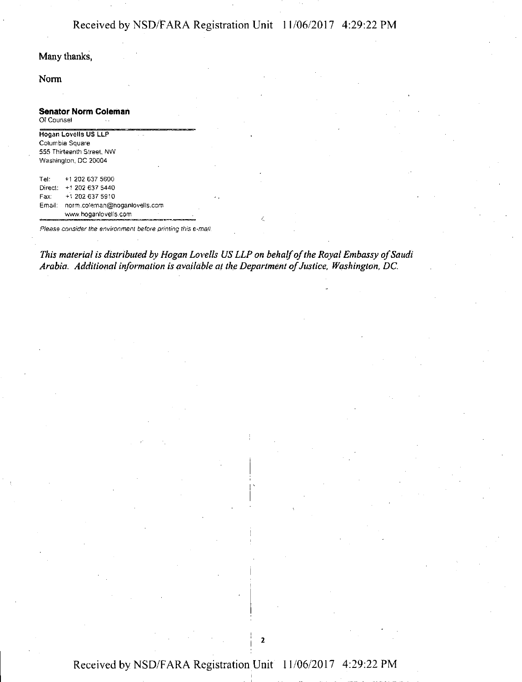# Received by NSD/F ARA Registration Unit I I /06/2017 4:29:22 PM

## Many thanks,

#### Norm

| Senator Norm Coleman<br>Of Counsel |                               |
|------------------------------------|-------------------------------|
|                                    | Hogan Lovells US LLP          |
|                                    | Columbia Square               |
|                                    | 555 Thirteenth Street, NW     |
|                                    | Washington, DC 20004          |
| Tel:                               | +1 202 637 5600               |
|                                    | Direct: +1 202 637 5440       |
| Fax:                               | +1 202 637 5910               |
| Email:                             | norm.coleman@hoganlovells.com |
|                                    | www.hoganlovells.com          |

Please consider the environment before printing this e-mail.

*This material is distributed by Hogan Lovells US LLP on behalf of the Royal Embassy of Saudi*  Arabia. Additional information is available at the Department of Justice, Washington, DC.

 $\mathbf{2}$ 

I

' . ' I

# Received by NSD/F ARA Registration Unit l I /06/2017 4:29:22 PM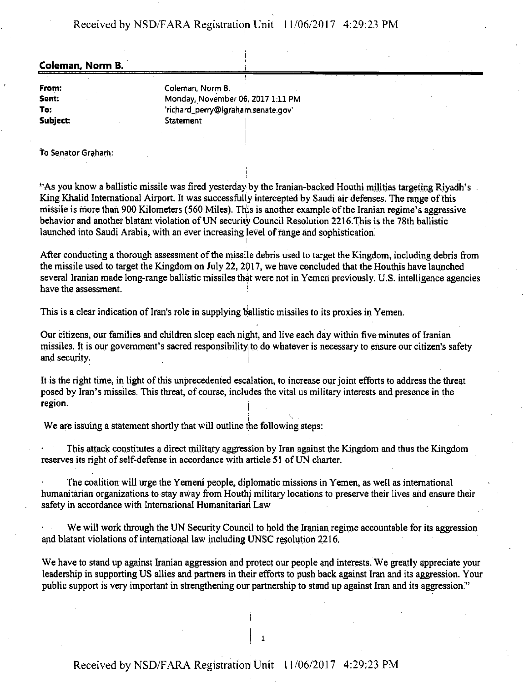Received by NSD/FARA Registration Unit 11/06/2017 4:29:23 PM

#### **Coleman, Norm B.** ·

**From: Sent: To: Subject**  Coleman, Norm B. Monday, November 06, 2017 1:11 PM 'richard\_perry@lgraham.senate.gov' **Statement** 

to Senator Graham:

''As you know a ballistic missile was fired yesterday by the Iranian-backed Houthi militias targeting Riyadh's King Khalid International Airport. It was successfully intercepted by Saudi air defenses. The range of this missile is more than 900 Kilometers (560 Miles). This is another example of the Iranian regime's aggressive behavior and another blatant violation of UN security Council Resolution 2216.This is the 78th ballistic launched into Saudi Arabia, with an ever increasing level of range and sophistication.

I

After conducting a thorough assessment of the missile debris used to target the Kingdom, including debris from the missile used to target the Kingdom on July 22, 2017, we have concluded that the Houthis have launched several Iranian made long-range ballistic missiles that were not in Yemen previously. U.S. intelligence agencies have the assessment.

This is a clear indication of Iran's role in supplying ballistic missiles to its proxies in Yemen.

Our citizens, our families and children sleep each night, and live each day within five minutes of Iranian missiles. It is our government's sacred responsibility to do whatever is necessary to ensure our citizen's safety and security.

It is the right time, in light of this unprecedented escalation, to increase our joint efforts to address the threat posed by Iran's missiles. This threat, of course, includes the vital us military interests and presence in the region.

We are issuing a statement shortly that will outline the following steps:

This attack constitutes a direct military aggression by Iran against the Kingdom and thus the Kingdom reserves its right of self-defense in accordance with article 51 of UN charter.

The coalition will urge the Yemeni people, diplomatic missions in Yemen, as well as international humanitarian organizations to stay away from Houthi military locations to preserve their lives and ensure their safety in accordance with International Humanitarian Law

We will work through the UN Security Council to hold the Iranian regime accountable for its aggression and blatant violations of international law including UNSC resolution 2216.

We have to stand up against Iranian aggression and protect our people and interests. We greatly appreciate your leadership in supporting US allies and partners in their efforts to push back against Iran and its aggression. Your public support is very important in strengthening our partnership to stand up against Iran and its aggression."

i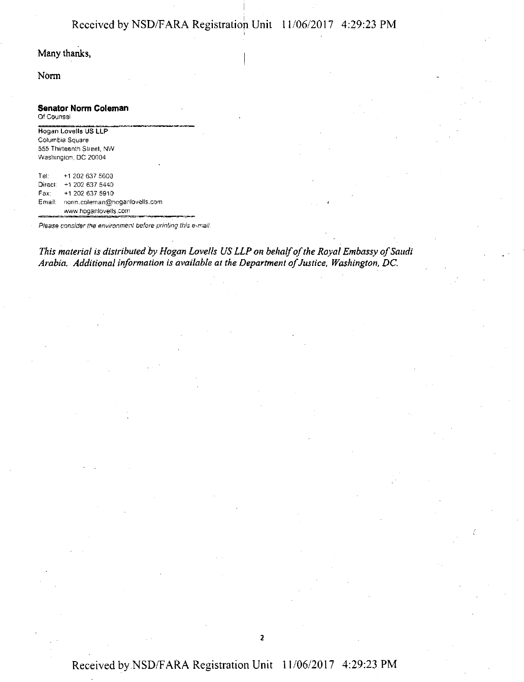Norm

#### **Senator Norm Coleman**

Of Counsel

**Hogan Lovells US LLP**  Columbia Square 555 Thirteenth Street, NW Washington, DC 20004

Tel: +1 202 637 5600 Direct: +1 202 637 5440 Fax: +1 202 637 5910 Email narm.coleman@hoganlovells.com --= www.hoganlovells.corn

Please consider the environment before printing this e-mail.

*This material is distributed by Hogan Lovells US LLP on behalf of the Royal Embassy of Saudi Arabia. Additional information is available at the Department of Justice, Washington, DC.* 

2

## Received by NSD/FARA Registration Unit 11/06/2017 4:29:23 PM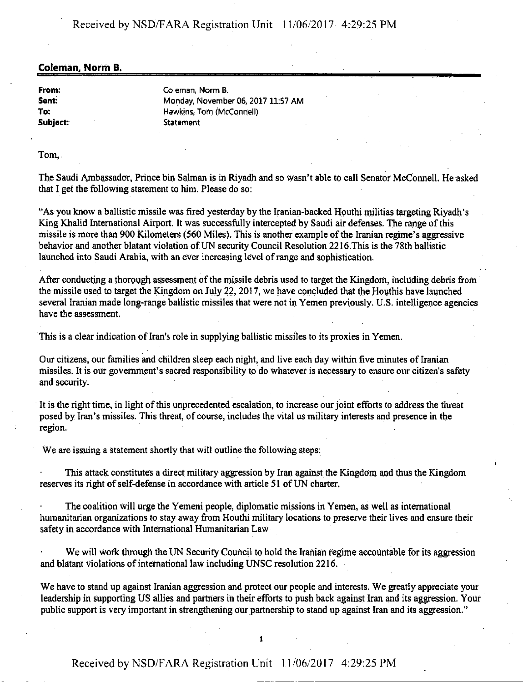## Received by NSD/FARA Registration Unit 11/06/2017 4:29:25 PM

#### **Coleman, Norm B.**

**From: Sent: To: Subject:**  Coleman, Norm B. Monday, November 06, 2017 11:57 AM Hawkins, Tom (McConnell) **Statement** 

Tom,.

The Saudi Ambassador, Prince bin Salman is in Riyadh and so wasn't able to call Senator McConnell. He asked that I get the following statement to him. Please do so:

"As you know a ballistic missile was fired yesterday by the Iranian-backed Houthi militias targeting Riyadh's King Khalid International Airport. It was successfully intercepted by Saudi air defenses. The range of this missile is more than 900 Kilometers (560 Miles). This is another example of the Iranian regime's aggressive behavior and another blatant violation of UN security Council Resolution 2216.This is the 78th ballistic launched into Saudi Arabia, with an ever increasing level of range and sophistication.

After conducting a thorough assessment of the missile debris used to target the Kingdom, including debris from the missile used to target the Kingdom on July 22, 2017, we have concluded that the Houthis have launched several Iranian made long-range ballistic missiles that were not in Yemen previously. U.S. intelligence agencies have the assessment.

This is a clear indication of Iran's role in supplying ballistic missiles to its proxies in Yemen.

Our citizens, our families and children sleep each night, and live each day within five minutes of Iranian missiles. It is our government's sacred responsibility to do whatever is necessary to ensure our citizen's safety and security.

It is the right time, in light of this unprecedented escalation, to increase our joint efforts to address the threat posed by Iran's missiles. This threat, of course, includes the vital us military interests and presence in the region.

We are issuing a statement shortly that will outline the following steps:

This attack constitutes a direct military aggression by Iran against the Kingdom and thus the Kingdom reserves its right of self-defense in accordance with article 51 of UN charter.

The coalition will urge the Yemeni people, diplomatic missions in Yemen, as well as international humanitarian organizations to stay away from Houthi military locations to preserve their lives and ensure their safety in accordance with International Humanitarian Law

We will work through the UN Security Council to hold the Iranian regime accountable for its aggression and blatant Violations of international law including UN.SC resolution 2216.

We have to stand up against Iranian aggression and protect our people and interests. We greatly appreciate your leadership in supporting US allies and partners in their efforts to push back against Iran and its aggression. Your public support is very important in strengthening our partnership to stand up against Iran and its aggression."

I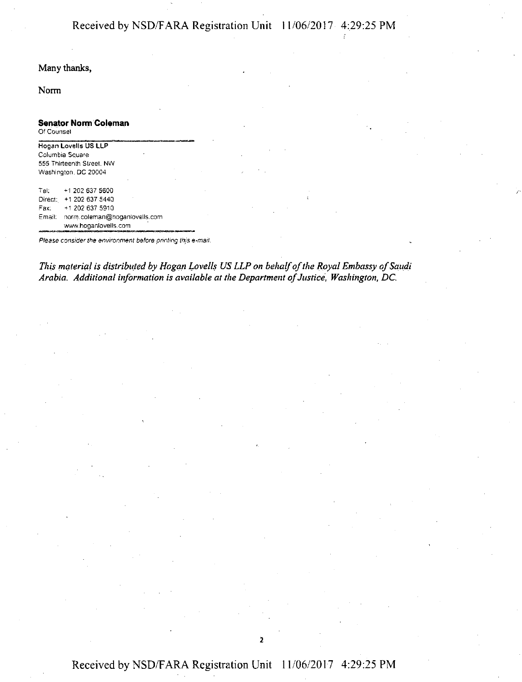Norm

## **Senator Norm Coleman**

Of Counsel

Hogan Lovells US LLP Columbia Square 555 Thirteenth Street, NW Washington. DC 20004

Tei; +12026375600 Direct: +1 202 637 5440 Fax: +1 202 637 5910 Email: norm.coleman@hoganlovell~.com  $+1202$  637 5440<br>  $+1202$  637 5440<br>  $+1202$  637 5910<br>
I: norm.coleman@hoganlovells.com<br>
www.hoganlovells.com

Please consider the environment before printing this e-mail.

*This material is distributed by Hogan Lovells US LLP on behalf of the Royal Embassy of Saudi Arabia. Additional information is available at the Department of Justice, Washington, DC.* 

2

## Received by NSD/FARA Registration Unit 11/06/2017 4:29:25 PM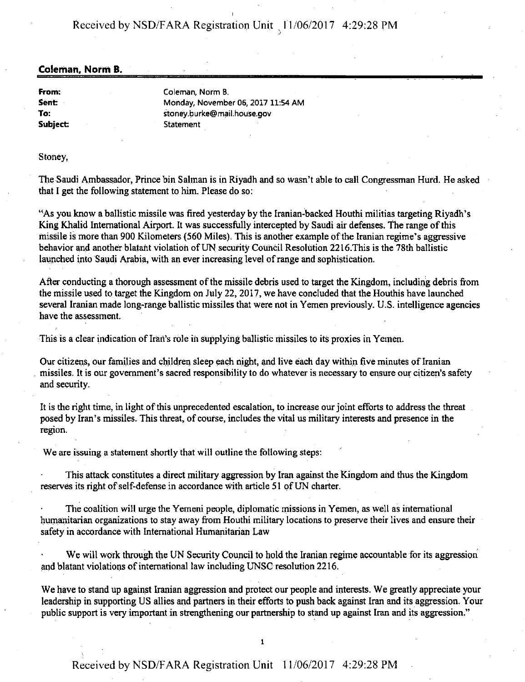Received by NSD/FARA Registration Unit 11/06/2017 4:29:28 PM

#### **Coleman. Norm B.**

**From: Sent To: Subject:**  Coleman, Norm B. Monday, November 06, 2017 11:54 AM stoney.burke@mail.house.gov **Statement** 

#### Stoney,

The Saudi Ambassador, Prince bin Salman is in Riyadh and so wasn't able to call Congressman Hurd. He asked that I get the following statement to him. Please do so:

"As you know a ballistic missile was fired yesterday by the Iranian-backed Houthi militias targeting Riyadh's King Khalid International Airport. It was successfully intercepted by Saudi air defenses. The range of this missile is more than 900 Kilometers (560 Miles). This is another example of the Iranian regime's aggressive behavior and another blatant violation of UN security Council Resolution 2216.This is the 78th ballistic launched into Saudi Arabia, with an ever increasing level of range and sophistication.

After conducting a thorough assessment of the missile debris used to target the Kingdom, including debris from the missile used to target the Kingdom on July 22, 2017, we have concluded that the Houthis have launched several Iranian made long-range ballistic missiles that were not in Yemen previously. U.S. intelligence agencies have the assessment.

This is a clear indication of Iran's role in supplying ballistic missiles to its proxies in Yemen.

Our citizens, our families and children sleep each night, and live each day within five minutes of Iranian . missiles. It is our government's sacred responsibility to do whatever is necessary to ensure our citizen's safety and security.

It is the right time, in light of this unprecedented escalation, to increase our joint efforts to address the threat posed by Iran's missiles. This threat, of course, includes the vital us military interests and presence in the region.

We are issuing a statement shortly that will outline the following steps:

This attack constitutes a direct military aggression by Iran against the Kingdom and thus the Kingdom reserves its right of self-defense in accordance with article 51 of UN charter.

The coalition will urge the Yemeni people, diplomatic rnissions in Yemen, as well as international humanitarian organizations to stay away from Houthi military locations to preserve their lives and ensure their safety in accordance with International Humanitarian Law

We will work through the UN Security Council to hold the Iranian regime accountable for its aggression and blatant violations of international law including UNSC resolution 2216.

We have to stand up against Iranian aggression and protect our people and interests. We greatly appreciate your leadership in supporting US allies and partners in their efforts to push back against Iran and its aggression. Your public support is very important in strengthening our partnership to stand up against Iran and its aggression."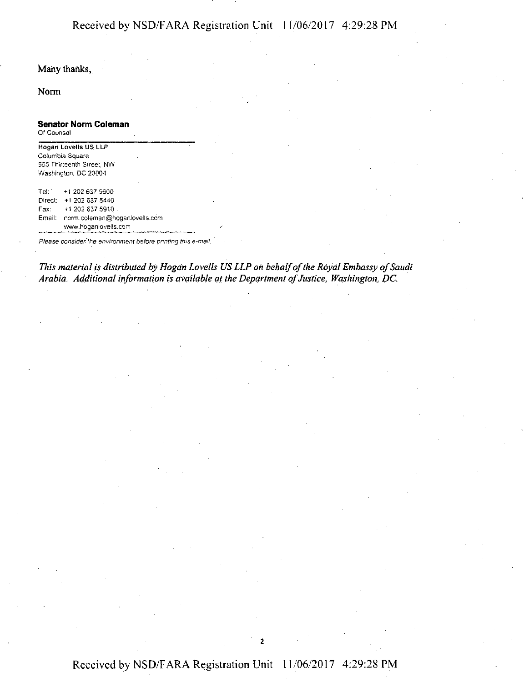Norm

#### **Senator Norm Coleman**

Of Counsel

**Hogan Lovells US\_ LLP**  Columbia Square 555 Thirteenth Street, NW Washington, DC 20004 Tel: +1202637 5600 Direct: +1 202 637 5440 Fax: **+1** 202 637 5910 Email: norm coleman@hoganlovells,com www.hoganlovells.com

Please consider the environment before printing this e-mail.

*This material is distributed by Hogan Lovells US LLP oil behalf of the Royal Embassy of Saudi Arabia. Additional information is available at the Department of Justice; Washington, DC.* 

## Received by NSD/F ARA Registration Unit 11/06/2017 4:29:28 PM

2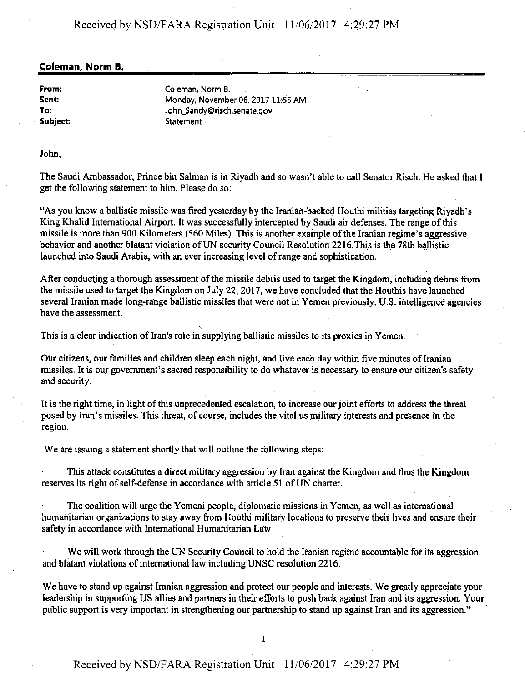## Received by NSD/F ARA Registration Unit l l /06/2017 4:29:27 PM

#### **Coleman, Norm B.**

**From: Sent: To:**  Subject: Coleman, Norm B. Monday, November 06, 2017 11:55 AM John\_Sandy@risch.senate.gov **Statement** 

John,

The Saudi Ambassador, Prince bin Salman is in Riyadh and so wasn't able to call Senator Risch. He asked that I get the following statement to him. Please do so:

"As you know a ballistic missile was fired yesterday by the Iranian-backed Houthi militias targeting Riyadh's King Khalid International Airport. It was successfully intercepted by Saudi air defenses. The range of this missile is more than 900 Kilometers (560 Miles). This is another example of the Iranian regime's aggressive behavior and another blatant violation of UN security Council Resolution 2216.This is the 78th ballistic launched into Saudi Arabia, with an ever increasing level ofrange and sophistication.

After conducting a thorough assessment of the missile debris used to target the Kingdom, including debris from the missile used to target the Kingdom on July 22, 2017, we have concluded that the Houthis have launched several Iranian made long-range ballistic missiles that were not in Yemen previously. U.S. intelligence agencies have the assessment.

This is a clear indication of Iran's role in supplying ballistic missiles to its proxies in Yemen.

*Out* citizens, our families and children sleep each night, and live each day within five minutes of Iranian missiles. It is our government's sacred responsibility to do whatever is necessary to ensure our citizen's safety and security.

It is the right time, in light of this unprecedented escalation, to increase our joint efforts to address the threat posed by Iran's missiles. This threat, of course, includes the vital us military interests and presence in the region.

We are issuing a statement shortly that will outline the following steps:

This attack constitutes a direct military aggression by Iran against the Kingdom and thus the Kingdom reserves its right of self-defense in accordance with article 51 of UN charter.

The coalition will urge the Yemeni people, diplomatic missions in Yemen, as well as international humanitarian organizations to stay away from Houthi military locations to preserve their lives and ensure their safety in accordance with International Humanitarian Law

We will work through the UN Security Council to hold the Iranian regime accountable for its aggression and blatant violations of international law including UNSC resolution 2216.

We have to stand up against Iranian aggression and protect our people and interests. We greatly appreciate your leadership in supporting US allies and partners in their efforts to push back against Iran and its aggression. Your public support is very important in strengthening our partnership to stand up against Iran and its aggression."

1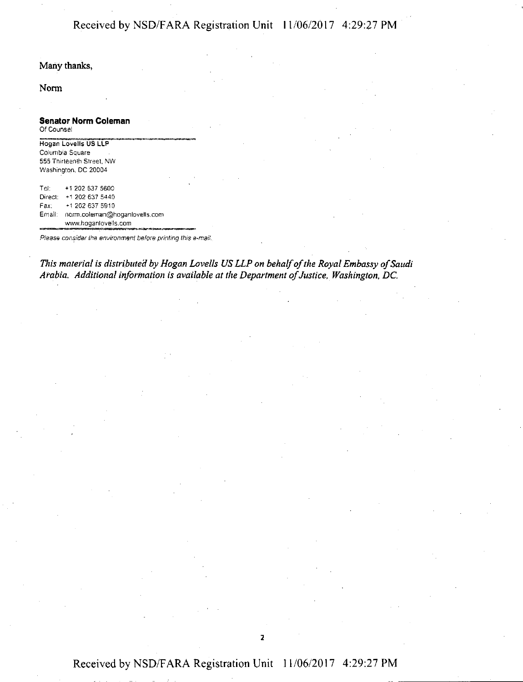## Received by NSD/F ARA Registration Unit 11/06/2017 4:29:27 PM

#### Many thanks,

#### Norm

#### **Senator Norm Coleman**  Of Counsel

Hogan Lovells US LLP Columbia Square 555 Thirteenth Street, NW Washington, DC 20004

Tel: +12026375600 Direct: +1 202 637 5440 Fax: +1 202 637 5910 Email: norm.coleman@hoganlovells.com www.hoganlovells.com - Heather her environment before printing this e-mail.<br>Please consider the environment before printing this e-mail.

This material is distributed by Hogan Lovells US LLP on behalf of the Royal Embassy of Saudi *Arabia. Additional information is available at the Department of Justice, Washington, DC.* 

2

## Received by NSD/FARA Registration Unit 11/06/2017 4:29:27 PM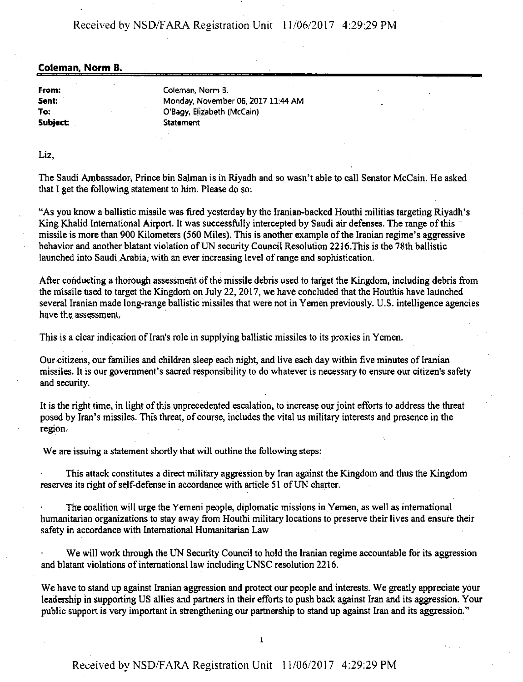## Received by NSD/F ARA Registration Unit 11/06/2017 4:29:29 PM

#### **Coleman, Norm B.**

**From: Sent: To: Subject:**  Coleman, Norm B. Monday, November 06, 2017 11:44 AM O'Bagy, E\_lizabeth (McCain) **Statement** 

Liz,

The Saudi Ambassador, Prince bin Salman is in Riyadh and so wasn't able to call Senator McCain. He asked that I get the following statement to him. Please do so:

"As you know a ballistic missile was fired yesterday by the Iranian-backed Houthi militias targeting Riyadh's King Khalid International Airport. It was successfully intercepted by Saudi air defenses. The range of this missile is more than 900 Kilometers (560 Miles). This is another example of the Iranian regime's aggressive behavior and another blatant violation of UN security Council Resolution 2216. This is the 78th ballistic launched into Saudi Arabia, with an ever increasing level ofrange and sophistication.

After conducting a thorough assessment of the missile debris used to target the Kingdom, including debris from the missile used to target the Kingdom on July 22, 2017, we have concluded that the Houthis have launched several Iranian made long-range ballistic missiles that were not in Yemen previously. U.S. intelligence agencies have the assessment.

This is a clear indication of Iran's role in supplying ballistic missiles to its proxies in Yemen.

Our citizens, our families and children sleep each night, and live each day within five minutes of Iranian missiles. It is our government's sacred responsibility to do whatever is necessary to ensure our citizen's safety and security.

It is the right time, in light of this unprecedented escalation, to increase our joint efforts to address the threat posed by Iran's missiles. This threat, of course, includes the vital us military interests and presence in the region.

We are issuing a statement shortly that will outline the following steps:

This attack constitutes a direct military aggression by Iran against the Kingdom and thus the Kingdom reserves its right of self-defense in accordance with article 51 of UN charter.

The coalition will urge the Yemeni people, diplomatic missions in Yemen, as well as international humanitarian organizations to stay away from Houthi military locations to preserve their lives and ensure their safety in accordance with International Humanitarian Law

We will work through the UN Security Council to hold the Iranian regime accountable for its aggression and blatant violations of international law including UNSC resolution 2216.

We have to stand up against Iranian aggression and protect our people and interests. We greatly appreciate your leadership in supporting US allies and partners in their efforts to push back against Iran and its aggression. Your public support is very important in strengthening our partnership to stand up against Iran and its aggression."

I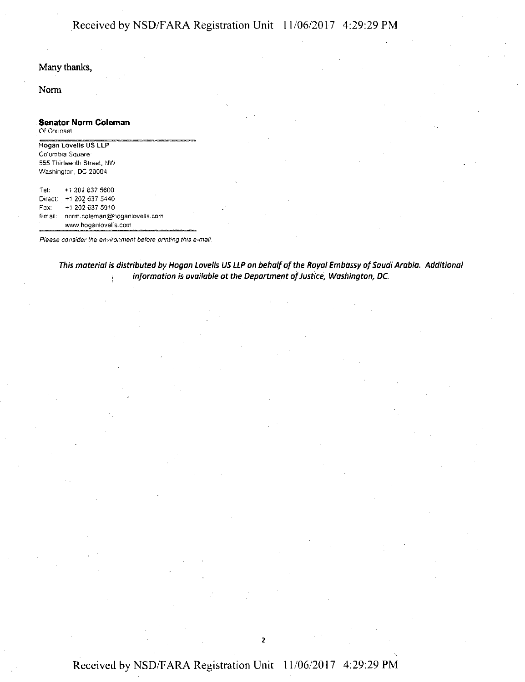## Received by NSD/F ARA Registration Unit I 1/06/2017 4:29:29 PM

#### Many thanks,

Norm

# **Senator Norm Coleman**  Hogan -------~-- Lovells US LLP ·-~ Of Counsel

Columbia Square 555 Thirteenth Street. NW Washington, DC 20004

Tel: +1'202 637 5600: Direct: +1 202 637 5440 Fax: +1 202 637 5910 Email: norrn.coleman@hoganlovells.com www.hoganlovells.com

Please consider the environment before printing this e-mail.

*This material is distributed by Hagan lave/ls US LlP an behalf af the Raya/ Embassy* of *Saudi Arabia. Additional information is available at the Department* of *Justice, Washington, DC.* 

2

## Received by NSD/FARA Registration Unit 11/06/2017 4:29:29 PM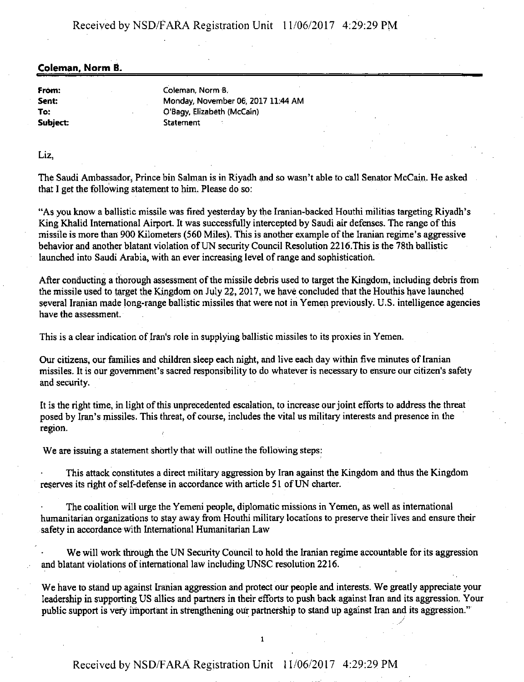Received by NSD/f ARA Registration Unit 11/06/2017 4:29:29 PM

#### **Coleman, Norm B.**

**From: Sent: To:**  Subject: Coleman, Norm B. Monday, November 06, 2017 11:44 AM O'Bagy, Elizabeth (McCain) **Statement** 

Liz,

The Saudi Ambassador, Prince bin Salman is in Riyadh and so wasn't able to call Senator McCain. He asked that I get the following statement to him. Please do so:

"As you know a ballistic missile was fired yesterday by the Iranian-backed Houthi militias targeting Riyadh's King Khalid International Airport. It was successfully intercepted by Saudi air defenses. The range of this missile is more than 900 Kilometers (560 Miles). This is another example of the Iranian regime's aggressive behavior and another blatant violation of UN security Council Resolution 2216. This is the 78th ballistic launched into Saudi Arabia, with an ever increasing level of range and sophistication.

After conducting a thorough assessment of the missile debris used to target the Kingdom, including debris from the missile used to target the Kingdom on July 22, 2017, we have concluded that the Houthis have launched several Iranian made long-range ballistic missiles that were not in Yemen previously. U.S. intelligence agencies have the assessment.

This is a clear indication of Iran's role in supplying ballistic missiles to its proxies in Yemen.

Our citizens, our families and children sleep each night, and Jive each day within five minutes of Iranian missiles. It is our government's sacred responsibility to do whatever is necessary to ensure our citizen's safety and security.

It is the right time, in light of this unprecedented escalation, to increase our joint efforts to address the threat posed by Iran's missiles. This threat, of course, includes the vital us military interests and presence in the region.

We are issuing a statement shortly that will outline the following steps:

This attack constitutes a direct military aggression by Iran against the Kingdom and thus the Kingdom reserves its right of self-defense in accordance with article 51 of UN charter.

The coalition will urge the Yemeni people, diplomatic missions in Yemen, as well as international humanitarian organizations to stay away from Houthi military locations to preserve their lives and ensure their safety in accordance with International Humanitarian Law

We will work through the UN Security Council to hold the Iranian regime accountable for its aggression and blatant violations of international Jaw including UNSC resolution 2216.

We have to stand up against Iranian aggression and protect our people and interests. We greatly appreciate your leadership in supporting US allies and partners in their efforts to push back against Iran and its aggression. Your public support is very important in strengthening our partnership to stand up against Iran and its aggression."

*\_/* 

I